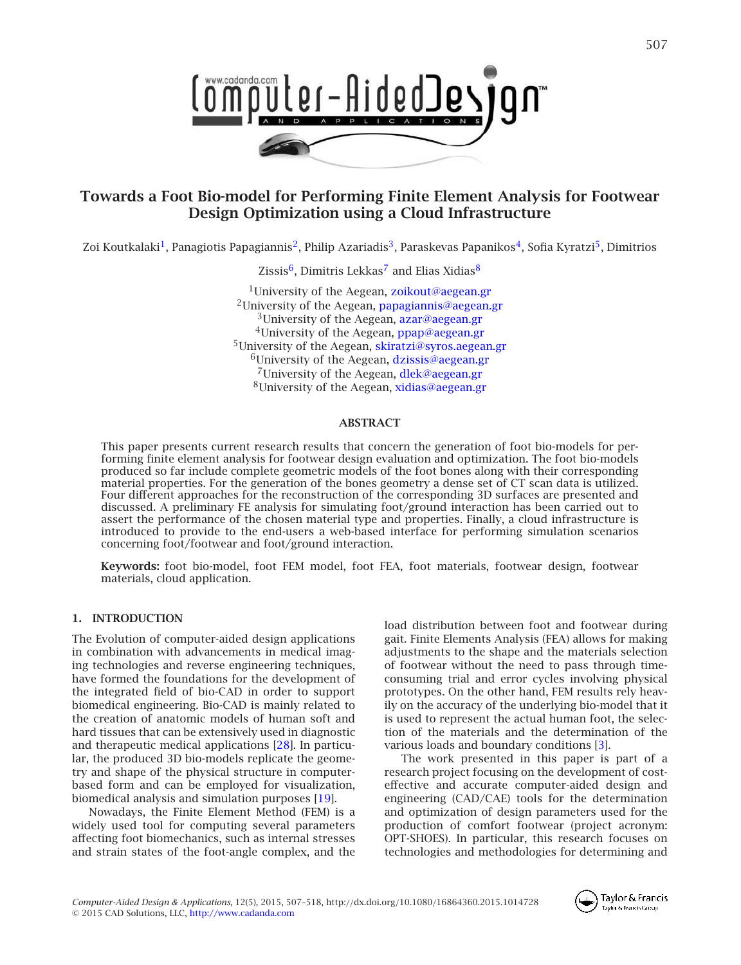

# **Towards a Foot Bio-model for Performing Finite Element Analysis for Footwear Design Optimization using a Cloud Infrastructure**

Zoi Koutkalaki<sup>1</sup>, Panagiotis Papagiannis<sup>2</sup>, Philip Azariadis<sup>3</sup>, Paraskevas Papanikos<sup>4</sup>, Sofia Kyratzi<sup>5</sup>, Dimitrios

Zissis $^6$ , Dimitris Lekkas<sup>7</sup> and Elias Xidias<sup>8</sup>

<span id="page-0-5"></span><span id="page-0-4"></span><span id="page-0-3"></span><span id="page-0-2"></span><span id="page-0-1"></span><span id="page-0-0"></span>1University of the Aegean, [zoikout@aegean.gr](mailto:zoikout@aegean.gr) <sup>2</sup>University of the Aegean, [papagiannis@aegean.gr](mailto:papagiannis@aegean.gr) <sup>3</sup>University of the Aegean,  $azar@aegean.gr$ <sup>4</sup>University of the Aegean,  $p$ pap@aegean.gr <sup>5</sup>University of the Aegean, [skiratzi@syros.aegean.gr](mailto:skiratzi@syros.aegean.gr) <sup>6</sup>University of the Aegean,  $dzissis@aegean.gr$ <sup>7</sup>University of the Aegean,  $d$ lek@aegean.gr  ${}^{8}$ University of the Aegean, [xidias@aegean.gr](mailto:xidias@aegean.gr)

## <span id="page-0-7"></span><span id="page-0-6"></span>**ABSTRACT**

This paper presents current research results that concern the generation of foot bio-models for performing finite element analysis for footwear design evaluation and optimization. The foot bio-models produced so far include complete geometric models of the foot bones along with their corresponding material properties. For the generation of the bones geometry a dense set of CT scan data is utilized. Four different approaches for the reconstruction of the corresponding 3D surfaces are presented and discussed. A preliminary FE analysis for simulating foot/ground interaction has been carried out to assert the performance of the chosen material type and properties. Finally, a cloud infrastructure is introduced to provide to the end-users a web-based interface for performing simulation scenarios concerning foot/footwear and foot/ground interaction.

**Keywords:** foot bio-model, foot FEM model, foot FEA, foot materials, footwear design, footwear materials, cloud application.

# **1. INTRODUCTION**

The Evolution of computer-aided design applications in combination with advancements in medical imaging technologies and reverse engineering techniques, have formed the foundations for the development of the integrated field of bio-CAD in order to support biomedical engineering. Bio-CAD is mainly related to the creation of anatomic models of human soft and hard tissues that can be extensively used in diagnostic and therapeutic medical applications [\[28\]](#page-11-0). In particular, the produced 3D bio-models replicate the geometry and shape of the physical structure in computerbased form and can be employed for visualization, biomedical analysis and simulation purposes [\[19](#page-10-0)].

Nowadays, the Finite Element Method (FEM) is a widely used tool for computing several parameters affecting foot biomechanics, such as internal stresses and strain states of the foot-angle complex, and the

load distribution between foot and footwear during gait. Finite Elements Analysis (FEA) allows for making adjustments to the shape and the materials selection of footwear without the need to pass through timeconsuming trial and error cycles involving physical prototypes. On the other hand, FEM results rely heavily on the accuracy of the underlying bio-model that it is used to represent the actual human foot, the selection of the materials and the determination of the various loads and boundary conditions [\[3\]](#page-10-1).

The work presented in this paper is part of a research project focusing on the development of costeffective and accurate computer-aided design and engineering (CAD/CAE) tools for the determination and optimization of design parameters used for the production of comfort footwear (project acronym: OPT-SHOES). In particular, this research focuses on technologies and methodologies for determining and

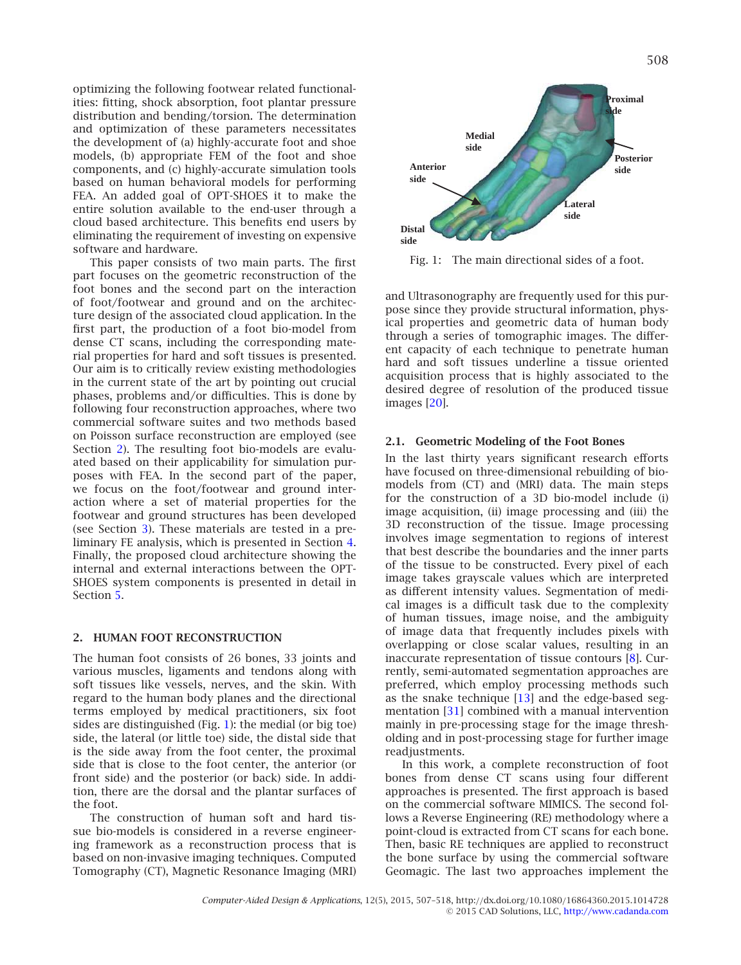optimizing the following footwear related functionalities: fitting, shock absorption, foot plantar pressure distribution and bending/torsion. The determination and optimization of these parameters necessitates the development of (a) highly-accurate foot and shoe models, (b) appropriate FEM of the foot and shoe components, and (c) highly-accurate simulation tools based on human behavioral models for performing FEA. An added goal of OPT-SHOES it to make the entire solution available to the end-user through a cloud based architecture. This benefits end users by eliminating the requirement of investing on expensive software and hardware.

This paper consists of two main parts. The first part focuses on the geometric reconstruction of the foot bones and the second part on the interaction of foot/footwear and ground and on the architecture design of the associated cloud application. In the first part, the production of a foot bio-model from dense CT scans, including the corresponding material properties for hard and soft tissues is presented. Our aim is to critically review existing methodologies in the current state of the art by pointing out crucial phases, problems and/or difficulties. This is done by following four reconstruction approaches, where two commercial software suites and two methods based on Poisson surface reconstruction are employed (see Section [2\)](#page-1-0). The resulting foot bio-models are evaluated based on their applicability for simulation purposes with FEA. In the second part of the paper, we focus on the foot/footwear and ground interaction where a set of material properties for the footwear and ground structures has been developed (see Section [3\)](#page-7-0). These materials are tested in a preliminary FE analysis, which is presented in Section [4.](#page-8-0) Finally, the proposed cloud architecture showing the internal and external interactions between the OPT-SHOES system components is presented in detail in Section [5.](#page-8-1)

# <span id="page-1-0"></span>**2. HUMAN FOOT RECONSTRUCTION**

The human foot consists of 26 bones, 33 joints and various muscles, ligaments and tendons along with soft tissues like vessels, nerves, and the skin. With regard to the human body planes and the directional terms employed by medical practitioners, six foot sides are distinguished (Fig. [1\)](#page-1-1): the medial (or big toe) side, the lateral (or little toe) side, the distal side that is the side away from the foot center, the proximal side that is close to the foot center, the anterior (or front side) and the posterior (or back) side. In addition, there are the dorsal and the plantar surfaces of the foot.

The construction of human soft and hard tissue bio-models is considered in a reverse engineering framework as a reconstruction process that is based on non-invasive imaging techniques. Computed Tomography (CT), Magnetic Resonance Imaging (MRI)



<span id="page-1-1"></span>Fig. 1: The main directional sides of a foot.

and Ultrasonography are frequently used for this purpose since they provide structural information, physical properties and geometric data of human body through a series of tomographic images. The different capacity of each technique to penetrate human hard and soft tissues underline a tissue oriented acquisition process that is highly associated to the desired degree of resolution of the produced tissue images [\[20](#page-10-2)].

#### **2.1. Geometric Modeling of the Foot Bones**

In the last thirty years significant research efforts have focused on three-dimensional rebuilding of biomodels from (CT) and (MRI) data. The main steps for the construction of a 3D bio-model include (i) image acquisition, (ii) image processing and (iii) the 3D reconstruction of the tissue. Image processing involves image segmentation to regions of interest that best describe the boundaries and the inner parts of the tissue to be constructed. Every pixel of each image takes grayscale values which are interpreted as different intensity values. Segmentation of medical images is a difficult task due to the complexity of human tissues, image noise, and the ambiguity of image data that frequently includes pixels with overlapping or close scalar values, resulting in an inaccurate representation of tissue contours [\[8](#page-10-3)]. Currently, semi-automated segmentation approaches are preferred, which employ processing methods such as the snake technique  $[13]$  and the edge-based seg-mentation [\[31\]](#page-11-1) combined with a manual intervention mainly in pre-processing stage for the image thresholding and in post-processing stage for further image readjustments.

In this work, a complete reconstruction of foot bones from dense CT scans using four different approaches is presented. The first approach is based on the commercial software MIMICS. The second follows a Reverse Engineering (RE) methodology where a point-cloud is extracted from CT scans for each bone. Then, basic RE techniques are applied to reconstruct the bone surface by using the commercial software Geomagic. The last two approaches implement the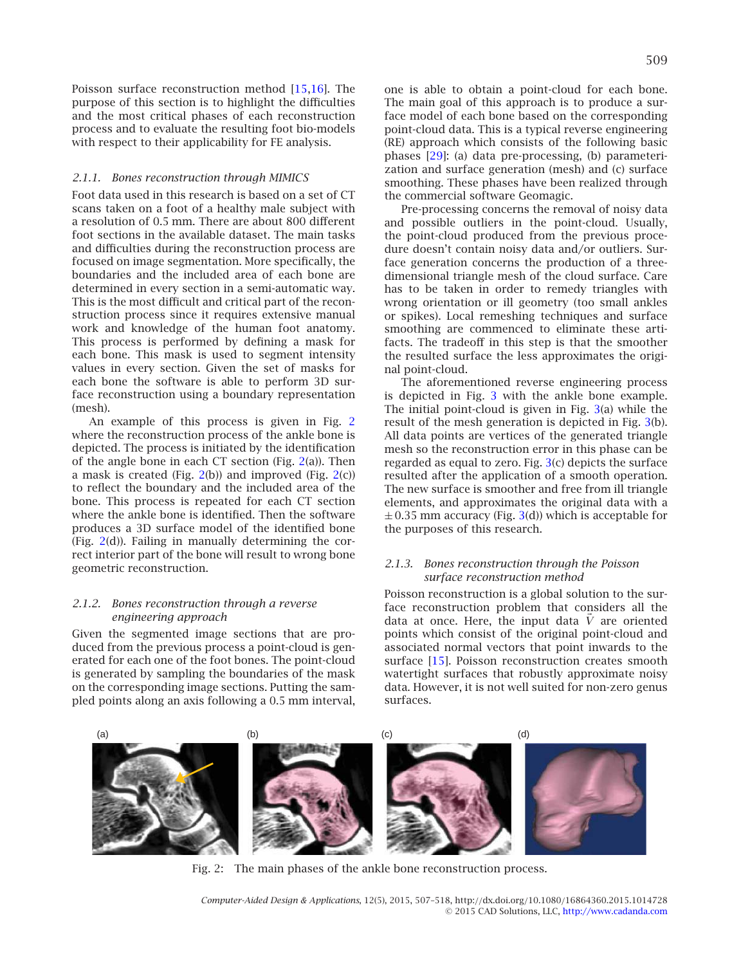Poisson surface reconstruction method [\[15](#page-10-5)[,16](#page-10-6)]. The purpose of this section is to highlight the difficulties and the most critical phases of each reconstruction process and to evaluate the resulting foot bio-models with respect to their applicability for FE analysis.

## *2.1.1. Bones reconstruction through MIMICS*

Foot data used in this research is based on a set of CT scans taken on a foot of a healthy male subject with a resolution of 0.5 mm. There are about 800 different foot sections in the available dataset. The main tasks and difficulties during the reconstruction process are focused on image segmentation. More specifically, the boundaries and the included area of each bone are determined in every section in a semi-automatic way. This is the most difficult and critical part of the reconstruction process since it requires extensive manual work and knowledge of the human foot anatomy. This process is performed by defining a mask for each bone. This mask is used to segment intensity values in every section. Given the set of masks for each bone the software is able to perform 3D surface reconstruction using a boundary representation (mesh).

An example of this process is given in Fig. [2](#page-2-0) where the reconstruction process of the ankle bone is depicted. The process is initiated by the identification of the angle bone in each CT section (Fig.  $2(a)$  $2(a)$ ). Then a mask is created (Fig.  $2(b)$  $2(b)$ ) and improved (Fig.  $2(c)$ ) to reflect the boundary and the included area of the bone. This process is repeated for each CT section where the ankle bone is identified. Then the software produces a 3D surface model of the identified bone (Fig. [2\(](#page-2-0)d)). Failing in manually determining the correct interior part of the bone will result to wrong bone geometric reconstruction.

#### *2.1.2. Bones reconstruction through a reverse engineering approach*

Given the segmented image sections that are produced from the previous process a point-cloud is generated for each one of the foot bones. The point-cloud is generated by sampling the boundaries of the mask on the corresponding image sections. Putting the sampled points along an axis following a 0.5 mm interval, one is able to obtain a point-cloud for each bone. The main goal of this approach is to produce a surface model of each bone based on the corresponding point-cloud data. This is a typical reverse engineering (RE) approach which consists of the following basic phases [\[29](#page-11-2)]: (a) data pre-processing, (b) parameterization and surface generation (mesh) and (c) surface smoothing. These phases have been realized through the commercial software Geomagic.

Pre-processing concerns the removal of noisy data and possible outliers in the point-cloud. Usually, the point-cloud produced from the previous procedure doesn't contain noisy data and/or outliers. Surface generation concerns the production of a threedimensional triangle mesh of the cloud surface. Care has to be taken in order to remedy triangles with wrong orientation or ill geometry (too small ankles or spikes). Local remeshing techniques and surface smoothing are commenced to eliminate these artifacts. The tradeoff in this step is that the smoother the resulted surface the less approximates the original point-cloud.

The aforementioned reverse engineering process is depicted in Fig. [3](#page-3-0) with the ankle bone example. The initial point-cloud is given in Fig. [3\(](#page-3-0)a) while the result of the mesh generation is depicted in Fig. [3\(](#page-3-0)b). All data points are vertices of the generated triangle mesh so the reconstruction error in this phase can be regarded as equal to zero. Fig.  $3(c)$  $3(c)$  depicts the surface resulted after the application of a smooth operation. The new surface is smoother and free from ill triangle elements, and approximates the original data with a  $\pm$  0.35 mm accuracy (Fig. [3\(](#page-3-0)d)) which is acceptable for the purposes of this research.

# *2.1.3. Bones reconstruction through the Poisson surface reconstruction method*

Poisson reconstruction is a global solution to the surface reconstruction problem that considers all the data at once. Here, the input data  $\vec{V}$  are oriented points which consist of the original point-cloud and associated normal vectors that point inwards to the surface [\[15](#page-10-5)]. Poisson reconstruction creates smooth watertight surfaces that robustly approximate noisy data. However, it is not well suited for non-zero genus surfaces.



<span id="page-2-0"></span>Fig. 2: The main phases of the ankle bone reconstruction process.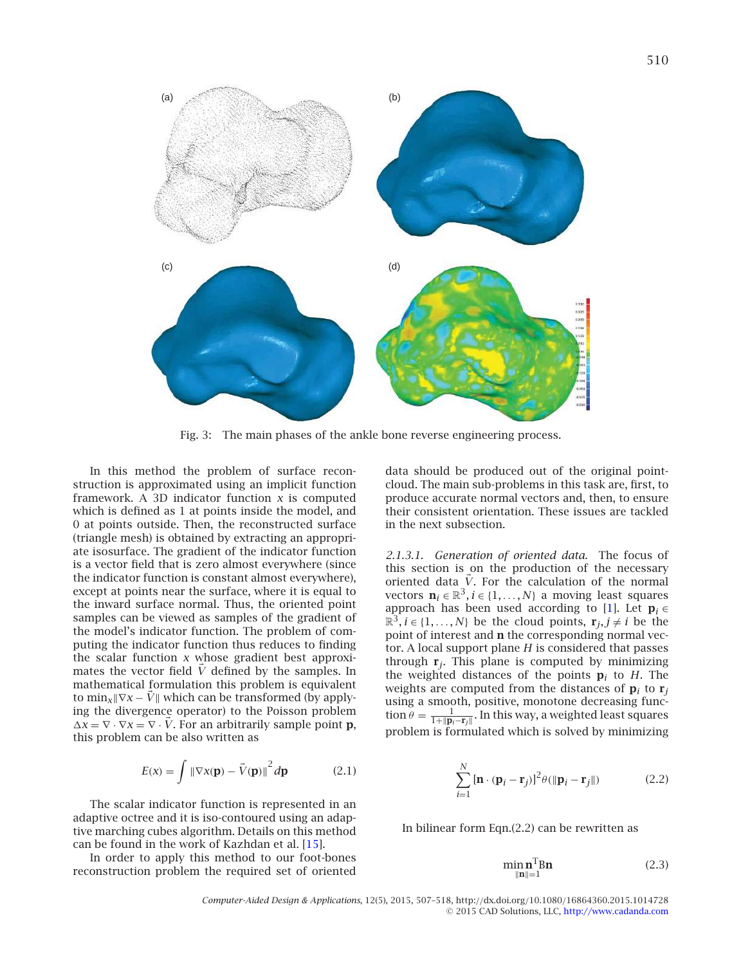

<span id="page-3-0"></span>Fig. 3: The main phases of the ankle bone reverse engineering process.

In this method the problem of surface reconstruction is approximated using an implicit function framework. A 3D indicator function *x* is computed which is defined as 1 at points inside the model, and 0 at points outside. Then, the reconstructed surface (triangle mesh) is obtained by extracting an appropriate isosurface. The gradient of the indicator function is a vector field that is zero almost everywhere (since the indicator function is constant almost everywhere), except at points near the surface, where it is equal to the inward surface normal. Thus, the oriented point samples can be viewed as samples of the gradient of the model's indicator function. The problem of computing the indicator function thus reduces to finding the scalar function *x* whose gradient best approximates the vector field  $\vec{V}$  defined by the samples. In mathematical formulation this problem is equivalent to  $\min_x || \nabla x - \vec{V} ||$  which can be transformed (by applying the divergence operator) to the Poisson problem  $\Delta x = \nabla \cdot \nabla x = \nabla \cdot \vec{V}$ . For an arbitrarily sample point **p**, this problem can be also written as

$$
E(x) = \int \left\| \nabla x(\mathbf{p}) - \vec{V}(\mathbf{p}) \right\|^2 d\mathbf{p} \tag{2.1}
$$

The scalar indicator function is represented in an adaptive octree and it is iso-contoured using an adaptive marching cubes algorithm. Details on this method can be found in the work of Kazhdan et al. [\[15\]](#page-10-5).

In order to apply this method to our foot-bones reconstruction problem the required set of oriented data should be produced out of the original pointcloud. The main sub-problems in this task are, first, to produce accurate normal vectors and, then, to ensure their consistent orientation. These issues are tackled in the next subsection.

*2.1.3.1. Generation of oriented data.* The focus of this section is on the production of the necessary oriented data  $\vec{V}$ . For the calculation of the normal vectors  $\mathbf{n}_i \in \mathbb{R}^3$ ,  $i \in \{1, ..., N\}$  a moving least squares approach has been used according to [\[1\]](#page-10-7). Let  $\mathbf{p}_i \in$  $\mathbb{R}^3$ ,  $i \in \{1, ..., N\}$  be the cloud points,  $\mathbf{r}_j, j \neq i$  be the point of interest and **n** the corresponding normal vector. A local support plane *H* is considered that passes through  $\mathbf{r}_i$ . This plane is computed by minimizing the weighted distances of the points  $\mathbf{p}_i$  to *H*. The weights are computed from the distances of  $\mathbf{p}_i$  to  $\mathbf{r}_i$ using a smooth, positive, monotone decreasing function  $\theta = \frac{1}{1 + ||\mathbf{p}_i - \mathbf{r}_j||}$ . In this way, a weighted least squares problem is formulated which is solved by minimizing

$$
\sum_{i=1}^{N} \left[ \mathbf{n} \cdot (\mathbf{p}_i - \mathbf{r}_j) \right]^2 \theta (\|\mathbf{p}_i - \mathbf{r}_j\|)
$$
 (2.2)

In bilinear form Eqn.(2.2) can be rewritten as

$$
\min_{\|\mathbf{n}\|=1} \mathbf{n}^{\mathrm{T}} \mathbf{B} \mathbf{n} \tag{2.3}
$$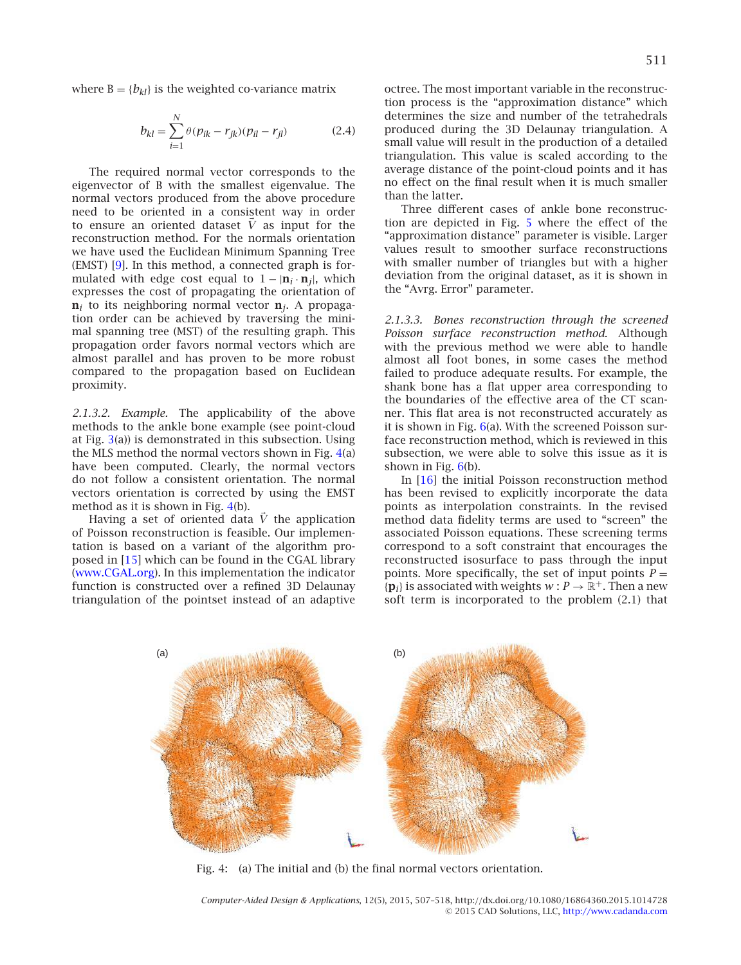where  $B = \{b_{kl}\}\$ is the weighted co-variance matrix

$$
b_{kl} = \sum_{i=1}^{N} \theta(p_{ik} - r_{jk})(p_{il} - r_{jl})
$$
 (2.4)

The required normal vector corresponds to the eigenvector of B with the smallest eigenvalue. The normal vectors produced from the above procedure need to be oriented in a consistent way in order to ensure an oriented dataset  $\vec{V}$  as input for the reconstruction method. For the normals orientation we have used the Euclidean Minimum Spanning Tree (EMST) [\[9](#page-10-8)]. In this method, a connected graph is formulated with edge cost equal to  $1 - |\mathbf{n}_i \cdot \mathbf{n}_i|$ , which expresses the cost of propagating the orientation of  $\mathbf{n}_i$  to its neighboring normal vector  $\mathbf{n}_i$ . A propagation order can be achieved by traversing the minimal spanning tree (MST) of the resulting graph. This propagation order favors normal vectors which are almost parallel and has proven to be more robust compared to the propagation based on Euclidean proximity.

*2.1.3.2. Example.* The applicability of the above methods to the ankle bone example (see point-cloud at Fig.  $3(a)$  $3(a)$ ) is demonstrated in this subsection. Using the MLS method the normal vectors shown in Fig.  $4(a)$  $4(a)$ have been computed. Clearly, the normal vectors do not follow a consistent orientation. The normal vectors orientation is corrected by using the EMST method as it is shown in Fig. [4\(](#page-4-0)b).

Having a set of oriented data  $\vec{V}$  the application of Poisson reconstruction is feasible. Our implementation is based on a variant of the algorithm proposed in [\[15](#page-10-5)] which can be found in the CGAL library [\(www.CGAL.org\)](file:www.CGAL.org). In this implementation the indicator function is constructed over a refined 3D Delaunay triangulation of the pointset instead of an adaptive octree. The most important variable in the reconstruction process is the "approximation distance" which determines the size and number of the tetrahedrals produced during the 3D Delaunay triangulation. A small value will result in the production of a detailed triangulation. This value is scaled according to the average distance of the point-cloud points and it has no effect on the final result when it is much smaller than the latter.

Three different cases of ankle bone reconstruction are depicted in Fig. [5](#page-5-0) where the effect of the "approximation distance" parameter is visible. Larger values result to smoother surface reconstructions with smaller number of triangles but with a higher deviation from the original dataset, as it is shown in the "Avrg. Error" parameter.

*2.1.3.3. Bones reconstruction through the screened Poisson surface reconstruction method.* Although with the previous method we were able to handle almost all foot bones, in some cases the method failed to produce adequate results. For example, the shank bone has a flat upper area corresponding to the boundaries of the effective area of the CT scanner. This flat area is not reconstructed accurately as it is shown in Fig. [6\(](#page-5-1)a). With the screened Poisson surface reconstruction method, which is reviewed in this subsection, we were able to solve this issue as it is shown in Fig.  $6(b)$  $6(b)$ .

In [\[16\]](#page-10-6) the initial Poisson reconstruction method has been revised to explicitly incorporate the data points as interpolation constraints. In the revised method data fidelity terms are used to "screen" the associated Poisson equations. These screening terms correspond to a soft constraint that encourages the reconstructed isosurface to pass through the input points. More specifically, the set of input points  $P =$  ${\bf p}_i$  is associated with weights  $w: P \to \mathbb{R}^+$ . Then a new soft term is incorporated to the problem (2.1) that



Fig. 4: (a) The initial and (b) the final normal vectors orientation.

<span id="page-4-0"></span>*Computer-Aided Design & Applications*, 12(5), 2015, 507–518, http://dx.doi.org/10.1080/16864360.2015.1014728 © 2015 CAD Solutions, LLC, <http://www.cadanda.com>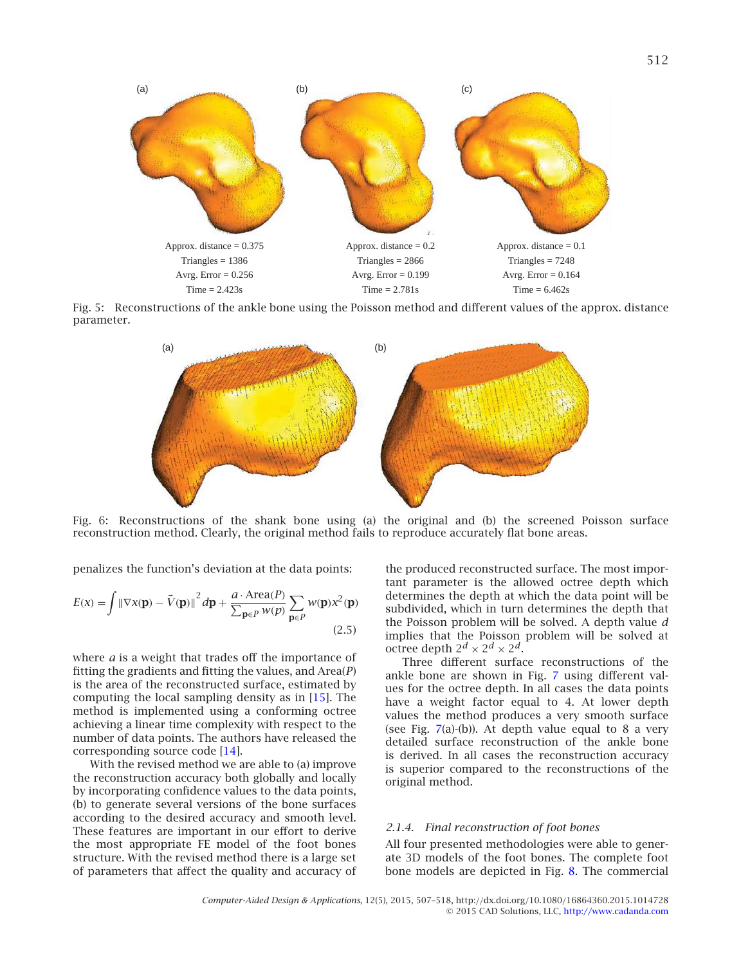

Fig. 5: Reconstructions of the ankle bone using the Poisson method and different values of the approx. distance parameter.

<span id="page-5-0"></span>

<span id="page-5-1"></span>Fig. 6: Reconstructions of the shank bone using (a) the original and (b) the screened Poisson surface reconstruction method. Clearly, the original method fails to reproduce accurately flat bone areas.

penalizes the function's deviation at the data points:

$$
E(x) = \int ||\nabla x(\mathbf{p}) - \vec{V}(\mathbf{p})||^2 d\mathbf{p} + \frac{a \cdot \text{Area}(P)}{\sum_{\mathbf{p} \in P} w(p)} \sum_{\mathbf{p} \in P} w(\mathbf{p}) x^2(\mathbf{p})
$$
\n(2.5)

where *a* is a weight that trades off the importance of fitting the gradients and fitting the values, and Area(*P*) is the area of the reconstructed surface, estimated by computing the local sampling density as in [\[15](#page-10-5)]. The method is implemented using a conforming octree achieving a linear time complexity with respect to the number of data points. The authors have released the corresponding source code [\[14\]](#page-10-9).

With the revised method we are able to (a) improve the reconstruction accuracy both globally and locally by incorporating confidence values to the data points, (b) to generate several versions of the bone surfaces according to the desired accuracy and smooth level. These features are important in our effort to derive the most appropriate FE model of the foot bones structure. With the revised method there is a large set of parameters that affect the quality and accuracy of

the produced reconstructed surface. The most important parameter is the allowed octree depth which determines the depth at which the data point will be subdivided, which in turn determines the depth that the Poisson problem will be solved. A depth value *d* implies that the Poisson problem will be solved at octree depth  $2^d \times 2^d \times 2^d$ .

Three different surface reconstructions of the ankle bone are shown in Fig. [7](#page-6-0) using different values for the octree depth. In all cases the data points have a weight factor equal to 4. At lower depth values the method produces a very smooth surface (see Fig.  $7(a)-(b)$  $7(a)-(b)$ ). At depth value equal to 8 a very detailed surface reconstruction of the ankle bone is derived. In all cases the reconstruction accuracy is superior compared to the reconstructions of the original method.

#### *2.1.4. Final reconstruction of foot bones*

All four presented methodologies were able to generate 3D models of the foot bones. The complete foot bone models are depicted in Fig. [8.](#page-6-1) The commercial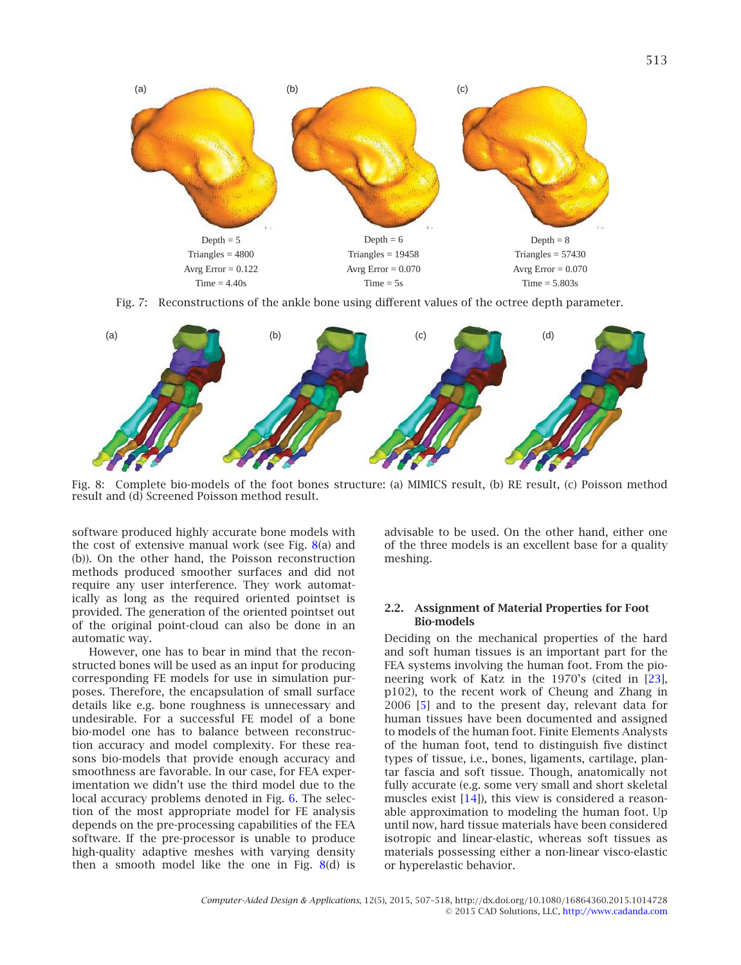

<span id="page-6-0"></span>Fig. 7: Reconstructions of the ankle bone using different values of the octree depth parameter.



<span id="page-6-1"></span>Fig. 8: Complete bio-models of the foot bones structure: (a) MIMICS result, (b) RE result, (c) Poisson method result and (d) Screened Poisson method result.

software produced highly accurate bone models with the cost of extensive manual work (see Fig.  $8(a)$  $8(a)$  and (b)). On the other hand, the Poisson reconstruction methods produced smoother surfaces and did not require any user interference. They work automatically as long as the required oriented pointset is provided. The generation of the oriented pointset out of the original point-cloud can also be done in an automatic way.

However, one has to bear in mind that the reconstructed bones will be used as an input for producing corresponding FE models for use in simulation purposes. Therefore, the encapsulation of small surface details like e.g. bone roughness is unnecessary and undesirable. For a successful FE model of a bone bio-model one has to balance between reconstruction accuracy and model complexity. For these reasons bio-models that provide enough accuracy and smoothness are favorable. In our case, for FEA experimentation we didn't use the third model due to the local accuracy problems denoted in Fig. [6.](#page-5-1) The selection of the most appropriate model for FE analysis depends on the pre-processing capabilities of the FEA software. If the pre-processor is unable to produce high-quality adaptive meshes with varying density then a smooth model like the one in Fig.  $8(d)$  $8(d)$  is

advisable to be used. On the other hand, either one of the three models is an excellent base for a quality meshing.

## **2.2. Assignment of Material Properties for Foot Bio-models**

Deciding on the mechanical properties of the hard and soft human tissues is an important part for the FEA systems involving the human foot. From the pioneering work of Katz in the 1970's (cited in [\[23](#page-11-3)], p102), to the recent work of Cheung and Zhang in 2006 [\[5](#page-10-10)] and to the present day, relevant data for human tissues have been documented and assigned to models of the human foot. Finite Elements Analysts of the human foot, tend to distinguish five distinct types of tissue, i.e., bones, ligaments, cartilage, plantar fascia and soft tissue. Though, anatomically not fully accurate (e.g. some very small and short skeletal muscles exist  $[14]$ ), this view is considered a reasonable approximation to modeling the human foot. Up until now, hard tissue materials have been considered isotropic and linear-elastic, whereas soft tissues as materials possessing either a non-linear visco-elastic or hyperelastic behavior.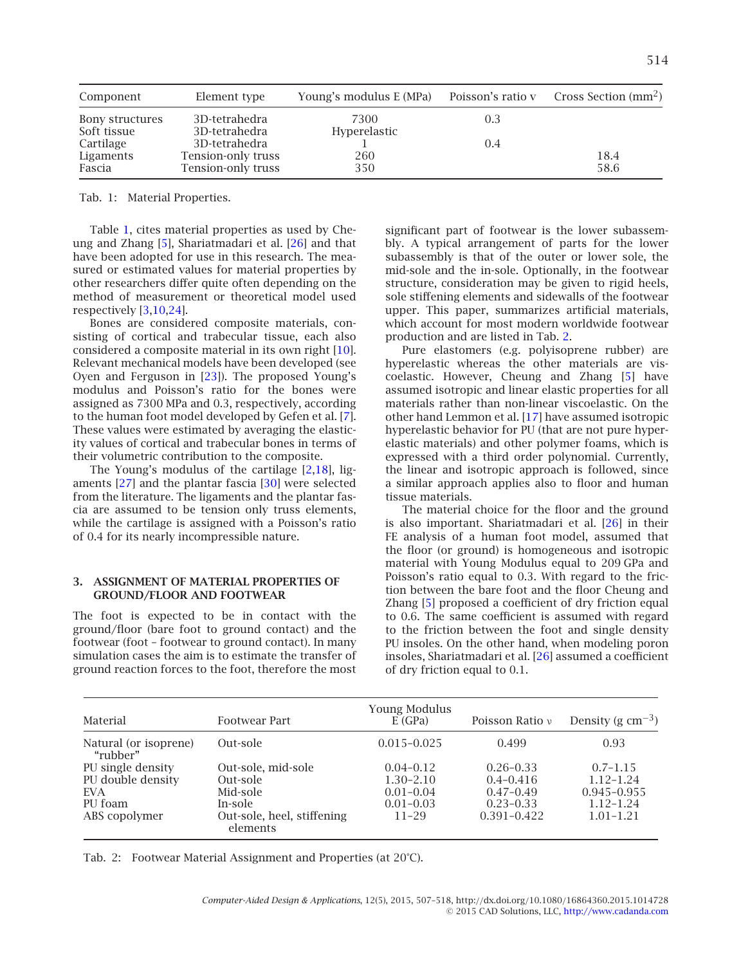| Component                      | Element type                             | Young's modulus E (MPa) | Poisson's ratio v | Cross Section $\text{(mm}^2)$ |
|--------------------------------|------------------------------------------|-------------------------|-------------------|-------------------------------|
| Bony structures<br>Soft tissue | 3D-tetrahedra<br>3D-tetrahedra           | 7300<br>Hyperelastic    | 0.3               |                               |
| Cartilage                      | 3D-tetrahedra                            |                         | 0.4               |                               |
| Ligaments<br>Fascia            | Tension-only truss<br>Tension-only truss | 260<br>350              |                   | 18.4<br>58.6                  |

<span id="page-7-1"></span>Tab. 1: Material Properties.

Table [1,](#page-7-1) cites material properties as used by Cheung and Zhang [\[5](#page-10-10)], Shariatmadari et al. [\[26\]](#page-11-4) and that have been adopted for use in this research. The measured or estimated values for material properties by other researchers differ quite often depending on the method of measurement or theoretical model used respectively [\[3](#page-10-1)[,10](#page-10-11)[,24\]](#page-11-5).

Bones are considered composite materials, consisting of cortical and trabecular tissue, each also considered a composite material in its own right [\[10\]](#page-10-11). Relevant mechanical models have been developed (see Oyen and Ferguson in [\[23](#page-11-3)]). The proposed Young's modulus and Poisson's ratio for the bones were assigned as 7300 MPa and 0.3, respectively, according to the human foot model developed by Gefen et al. [\[7\]](#page-10-12). These values were estimated by averaging the elasticity values of cortical and trabecular bones in terms of their volumetric contribution to the composite.

The Young's modulus of the cartilage [\[2](#page-10-13)[,18](#page-10-14)], ligaments [\[27\]](#page-11-6) and the plantar fascia [\[30](#page-11-7)] were selected from the literature. The ligaments and the plantar fascia are assumed to be tension only truss elements, while the cartilage is assigned with a Poisson's ratio of 0.4 for its nearly incompressible nature.

## <span id="page-7-0"></span>**3. ASSIGNMENT OF MATERIAL PROPERTIES OF GROUND/FLOOR AND FOOTWEAR**

The foot is expected to be in contact with the ground/floor (bare foot to ground contact) and the footwear (foot – footwear to ground contact). In many simulation cases the aim is to estimate the transfer of ground reaction forces to the foot, therefore the most significant part of footwear is the lower subassembly. A typical arrangement of parts for the lower subassembly is that of the outer or lower sole, the mid-sole and the in-sole. Optionally, in the footwear structure, consideration may be given to rigid heels, sole stiffening elements and sidewalls of the footwear upper. This paper, summarizes artificial materials, which account for most modern worldwide footwear production and are listed in Tab. [2.](#page-7-2)

Pure elastomers (e.g. polyisoprene rubber) are hyperelastic whereas the other materials are viscoelastic. However, Cheung and Zhang [\[5\]](#page-10-10) have assumed isotropic and linear elastic properties for all materials rather than non-linear viscoelastic. On the other hand Lemmon et al. [\[17](#page-10-15)] have assumed isotropic hyperelastic behavior for PU (that are not pure hyperelastic materials) and other polymer foams, which is expressed with a third order polynomial. Currently, the linear and isotropic approach is followed, since a similar approach applies also to floor and human tissue materials.

The material choice for the floor and the ground is also important. Shariatmadari et al. [\[26](#page-11-4)] in their FE analysis of a human foot model, assumed that the floor (or ground) is homogeneous and isotropic material with Young Modulus equal to 209 GPa and Poisson's ratio equal to 0.3. With regard to the friction between the bare foot and the floor Cheung and Zhang [\[5](#page-10-10)] proposed a coefficient of dry friction equal to 0.6. The same coefficient is assumed with regard to the friction between the foot and single density PU insoles. On the other hand, when modeling poron insoles, Shariatmadari et al. [\[26](#page-11-4)] assumed a coefficient of dry friction equal to 0.1.

| Material                          | Footwear Part                          | Young Modulus<br>E(GPa) | Poisson Ratio y | Density (g $\rm cm^{-3}$ ) |
|-----------------------------------|----------------------------------------|-------------------------|-----------------|----------------------------|
| Natural (or isoprene)<br>"rubber" | Out-sole                               | $0.015 - 0.025$         | 0.499           | 0.93                       |
| PU single density                 | Out-sole, mid-sole                     | $0.04 - 0.12$           | $0.26 - 0.33$   | $0.7 - 1.15$               |
| PU double density                 | Out-sole                               | $1.30 - 2.10$           | $0.4 - 0.416$   | $1.12 - 1.24$              |
| EVA.                              | Mid-sole                               | $0.01 - 0.04$           | $0.47 - 0.49$   | $0.945 - 0.955$            |
| PU foam                           | In-sole                                | $0.01 - 0.03$           | $0.23 - 0.33$   | $1.12 - 1.24$              |
| ABS copolymer                     | Out-sole, heel, stiffening<br>elements | $11 - 29$               | $0.391 - 0.422$ | $1.01 - 1.21$              |

<span id="page-7-2"></span>Tab. 2: Footwear Material Assignment and Properties (at 20°C).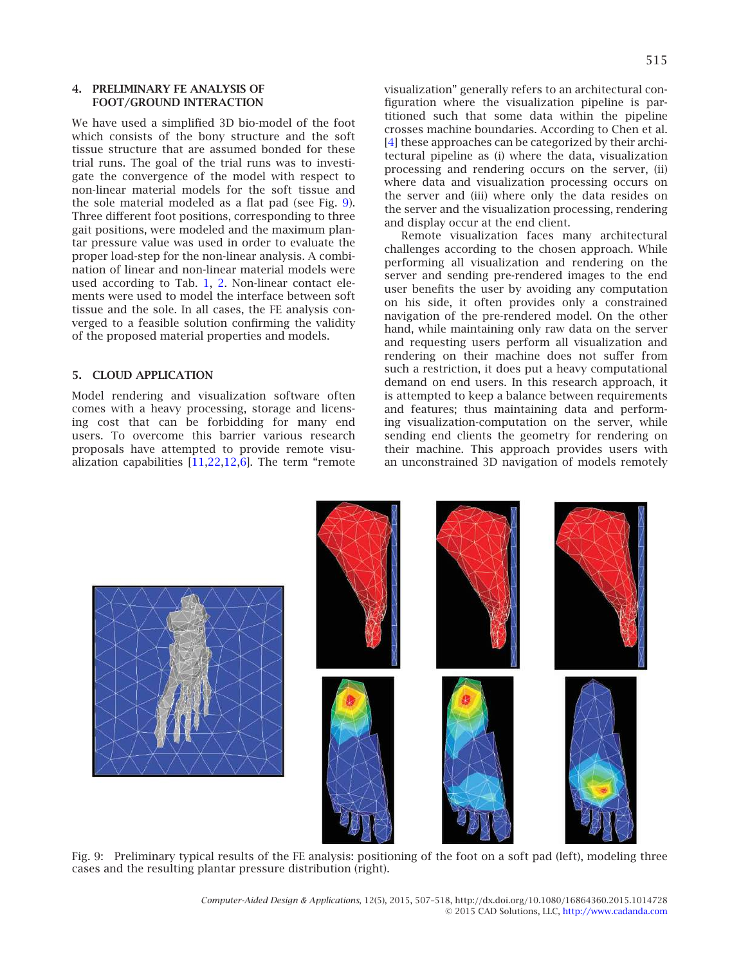# <span id="page-8-0"></span>**4. PRELIMINARY FE ANALYSIS OF FOOT/GROUND INTERACTION**

We have used a simplified 3D bio-model of the foot which consists of the bony structure and the soft tissue structure that are assumed bonded for these trial runs. The goal of the trial runs was to investigate the convergence of the model with respect to non-linear material models for the soft tissue and the sole material modeled as a flat pad (see Fig. [9\)](#page-8-2). Three different foot positions, corresponding to three gait positions, were modeled and the maximum plantar pressure value was used in order to evaluate the proper load-step for the non-linear analysis. A combination of linear and non-linear material models were used according to Tab. [1,](#page-7-1) [2.](#page-7-2) Non-linear contact elements were used to model the interface between soft tissue and the sole. In all cases, the FE analysis converged to a feasible solution confirming the validity of the proposed material properties and models.

# <span id="page-8-1"></span>**5. CLOUD APPLICATION**

Model rendering and visualization software often comes with a heavy processing, storage and licensing cost that can be forbidding for many end users. To overcome this barrier various research proposals have attempted to provide remote visualization capabilities [\[11](#page-10-16)[,22](#page-11-8)[,12](#page-10-17)[,6\]](#page-10-18). The term "remote

visualization" generally refers to an architectural configuration where the visualization pipeline is partitioned such that some data within the pipeline crosses machine boundaries. According to Chen et al. [\[4\]](#page-10-19) these approaches can be categorized by their architectural pipeline as (i) where the data, visualization processing and rendering occurs on the server, (ii) where data and visualization processing occurs on the server and (iii) where only the data resides on the server and the visualization processing, rendering and display occur at the end client.

Remote visualization faces many architectural challenges according to the chosen approach. While performing all visualization and rendering on the server and sending pre-rendered images to the end user benefits the user by avoiding any computation on his side, it often provides only a constrained navigation of the pre-rendered model. On the other hand, while maintaining only raw data on the server and requesting users perform all visualization and rendering on their machine does not suffer from such a restriction, it does put a heavy computational demand on end users. In this research approach, it is attempted to keep a balance between requirements and features; thus maintaining data and performing visualization-computation on the server, while sending end clients the geometry for rendering on their machine. This approach provides users with an unconstrained 3D navigation of models remotely



<span id="page-8-2"></span>Fig. 9: Preliminary typical results of the FE analysis: positioning of the foot on a soft pad (left), modeling three cases and the resulting plantar pressure distribution (right).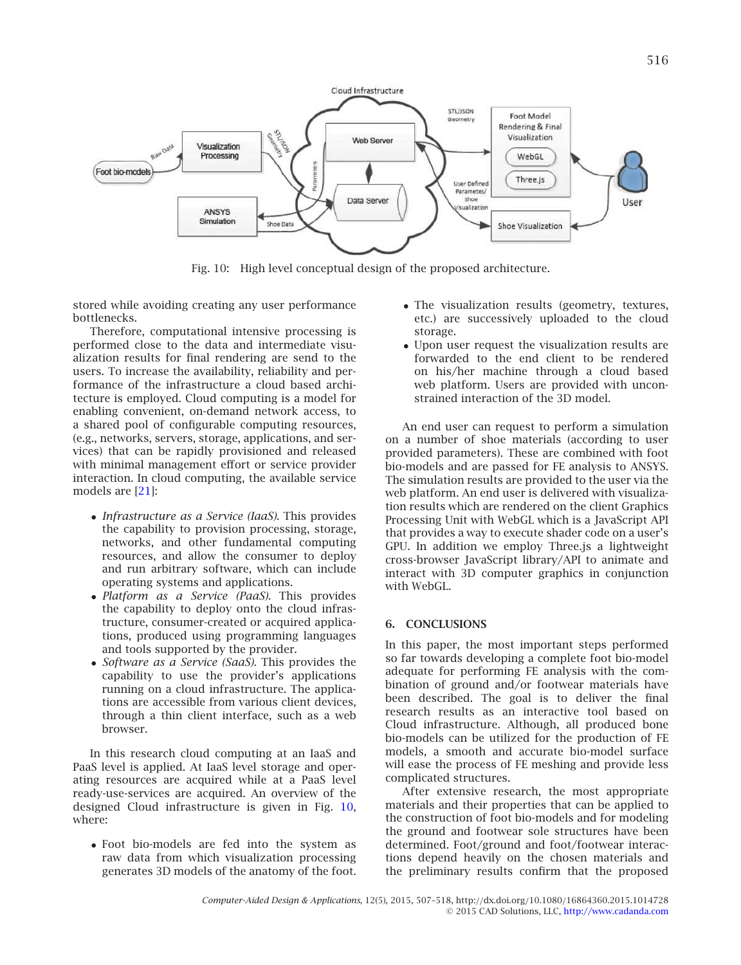

<span id="page-9-0"></span>Fig. 10: High level conceptual design of the proposed architecture.

stored while avoiding creating any user performance bottlenecks.

Therefore, computational intensive processing is performed close to the data and intermediate visualization results for final rendering are send to the users. To increase the availability, reliability and performance of the infrastructure a cloud based architecture is employed. Cloud computing is a model for enabling convenient, on-demand network access, to a shared pool of configurable computing resources, (e.g., networks, servers, storage, applications, and services) that can be rapidly provisioned and released with minimal management effort or service provider interaction. In cloud computing, the available service models are [\[21\]](#page-11-9):

- *Infrastructure as a Service (IaaS).* This provides the capability to provision processing, storage, networks, and other fundamental computing resources, and allow the consumer to deploy and run arbitrary software, which can include operating systems and applications.
- *Platform as a Service (PaaS).* This provides the capability to deploy onto the cloud infrastructure, consumer-created or acquired applications, produced using programming languages and tools supported by the provider.
- *Software as a Service (SaaS).* This provides the capability to use the provider's applications running on a cloud infrastructure. The applications are accessible from various client devices, through a thin client interface, such as a web browser.

In this research cloud computing at an IaaS and PaaS level is applied. At IaaS level storage and operating resources are acquired while at a PaaS level ready-use-services are acquired. An overview of the designed Cloud infrastructure is given in Fig. [10,](#page-9-0) where:

• Foot bio-models are fed into the system as raw data from which visualization processing generates 3D models of the anatomy of the foot.

- The visualization results (geometry, textures, etc.) are successively uploaded to the cloud storage.
- Upon user request the visualization results are forwarded to the end client to be rendered on his/her machine through a cloud based web platform. Users are provided with unconstrained interaction of the 3D model.

An end user can request to perform a simulation on a number of shoe materials (according to user provided parameters). These are combined with foot bio-models and are passed for FE analysis to ANSYS. The simulation results are provided to the user via the web platform. An end user is delivered with visualization results which are rendered on the client Graphics Processing Unit with WebGL which is a JavaScript API that provides a way to execute shader code on a user's GPU. In addition we employ Three.js a lightweight cross-browser JavaScript library/API to animate and interact with 3D computer graphics in conjunction with WebGL.

#### **6. CONCLUSIONS**

In this paper, the most important steps performed so far towards developing a complete foot bio-model adequate for performing FE analysis with the combination of ground and/or footwear materials have been described. The goal is to deliver the final research results as an interactive tool based on Cloud infrastructure. Although, all produced bone bio-models can be utilized for the production of FE models, a smooth and accurate bio-model surface will ease the process of FE meshing and provide less complicated structures.

After extensive research, the most appropriate materials and their properties that can be applied to the construction of foot bio-models and for modeling the ground and footwear sole structures have been determined. Foot/ground and foot/footwear interactions depend heavily on the chosen materials and the preliminary results confirm that the proposed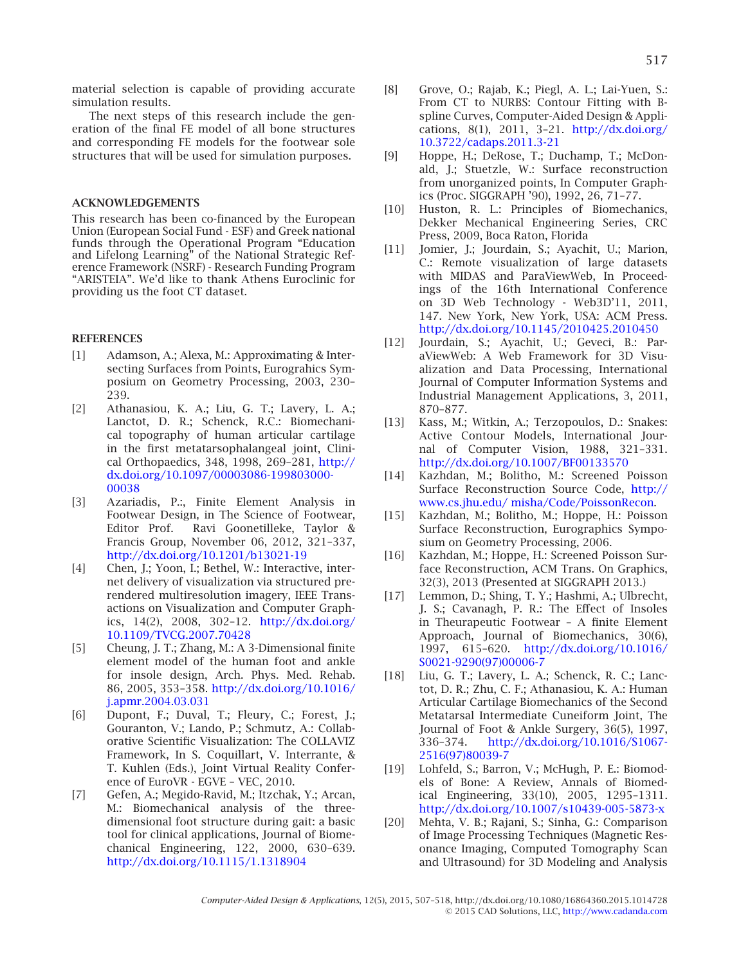The next steps of this research include the generation of the final FE model of all bone structures and corresponding FE models for the footwear sole structures that will be used for simulation purposes.

## **ACKNOWLEDGEMENTS**

This research has been co-financed by the European Union (European Social Fund - ESF) and Greek national funds through the Operational Program "Education and Lifelong Learning" of the National Strategic Reference Framework (NSRF) - Research Funding Program "ARISTEIA". We'd like to thank Athens Euroclinic for providing us the foot CT dataset.

## **REFERENCES**

- <span id="page-10-7"></span>[1] Adamson, A.; Alexa, M.: Approximating & Intersecting Surfaces from Points, Eurograhics Symposium on Geometry Processing, 2003, 230– 239.
- <span id="page-10-13"></span>[2] Athanasiou, K. A.; Liu, G. T.; Lavery, L. A.; Lanctot, D. R.; Schenck, R.C.: Biomechanical topography of human articular cartilage in the first metatarsophalangeal joint, Clinical Orthopaedics, 348, 1998, 269–281, [http://](http://dx.doi.org/10.1097/00003086-199803000-00038) [dx.doi.org/10.1097/00003086-199803000-](http://dx.doi.org/10.1097/00003086-199803000-00038) [00038](http://dx.doi.org/10.1097/00003086-199803000-00038)
- <span id="page-10-1"></span>[3] Azariadis, P.:, Finite Element Analysis in Footwear Design, in The Science of Footwear, Editor Prof. Ravi Goonetilleke, Taylor & Francis Group, November 06, 2012, 321–337, <http://dx.doi.org/10.1201/b13021-19>
- <span id="page-10-19"></span>[4] Chen, J.; Yoon, I.; Bethel, W.: Interactive, internet delivery of visualization via structured prerendered multiresolution imagery, IEEE Transactions on Visualization and Computer Graphics, 14(2), 2008, 302–12. [http://dx.doi.org/](http://dx.doi.org/10.1109/TVCG.2007.70428) [10.1109/TVCG.2007.70428](http://dx.doi.org/10.1109/TVCG.2007.70428)
- <span id="page-10-10"></span>[5] Cheung, J. T.; Zhang, M.: A 3-Dimensional finite element model of the human foot and ankle for insole design, Arch. Phys. Med. Rehab. 86, 2005, 353–358. [http://dx.doi.org/10.1016/](http://dx.doi.org/10.1016/j.apmr.2004.03.031) [j.apmr.2004.03.031](http://dx.doi.org/10.1016/j.apmr.2004.03.031)
- <span id="page-10-18"></span>[6] Dupont, F.; Duval, T.; Fleury, C.; Forest, J.; Gouranton, V.; Lando, P.; Schmutz, A.: Collaborative Scientific Visualization: The COLLAVIZ Framework, In S. Coquillart, V. Interrante, & T. Kuhlen (Eds.), Joint Virtual Reality Conference of EuroVR - EGVE – VEC, 2010.
- <span id="page-10-12"></span>[7] Gefen, A.; Megido-Ravid, M.; Itzchak, Y.; Arcan, M.: Biomechanical analysis of the threedimensional foot structure during gait: a basic tool for clinical applications, Journal of Biomechanical Engineering, 122, 2000, 630–639. <http://dx.doi.org/10.1115/1.1318904>
- <span id="page-10-3"></span>[8] Grove, O.; Rajab, K.; Piegl, A. L.; Lai-Yuen, S.: From CT to NURBS: Contour Fitting with Bspline Curves, Computer-Aided Design & Applications, 8(1), 2011, 3–21. [http://dx.doi.org/](http://dx.doi.org/10.3722/cadaps.2011.3-21) [10.3722/cadaps.2011.3-21](http://dx.doi.org/10.3722/cadaps.2011.3-21)
- <span id="page-10-8"></span>[9] Hoppe, H.; DeRose, T.; Duchamp, T.; McDonald, J.; Stuetzle, W.: Surface reconstruction from unorganized points, In Computer Graphics (Proc. SIGGRAPH '90), 1992, 26, 71–77.
- <span id="page-10-11"></span>[10] Huston, R. L.: Principles of Biomechanics, Dekker Mechanical Engineering Series, CRC Press, 2009, Boca Raton, Florida
- <span id="page-10-16"></span>[11] Jomier, J.; Jourdain, S.; Ayachit, U.; Marion, C.: Remote visualization of large datasets with MIDAS and ParaViewWeb, In Proceedings of the 16th International Conference on 3D Web Technology - Web3D'11, 2011, 147. New York, New York, USA: ACM Press. <http://dx.doi.org/10.1145/2010425.2010450>
- <span id="page-10-17"></span>[12] Jourdain, S.; Ayachit, U.; Geveci, B.: ParaViewWeb: A Web Framework for 3D Visualization and Data Processing, International Journal of Computer Information Systems and Industrial Management Applications, 3, 2011, 870–877.
- <span id="page-10-4"></span>[13] Kass, M.; Witkin, A.; Terzopoulos, D.: Snakes: Active Contour Models, International Journal of Computer Vision, 1988, 321–331. <http://dx.doi.org/10.1007/BF00133570>
- <span id="page-10-9"></span>[14] Kazhdan, M.; Bolitho, M.: Screened Poisson Surface Reconstruction Source Code, [http://](http://www.cs.jhu.edu/~misha/Code/PoissonRecon) [www.cs.jhu.edu/ misha/Code/PoissonRecon.](http://www.cs.jhu.edu/~misha/Code/PoissonRecon)
- <span id="page-10-5"></span>[15] Kazhdan, M.; Bolitho, M.; Hoppe, H.: Poisson Surface Reconstruction, Eurographics Symposium on Geometry Processing, 2006.
- <span id="page-10-6"></span>[16] Kazhdan, M.; Hoppe, H.: Screened Poisson Surface Reconstruction, ACM Trans. On Graphics, 32(3), 2013 (Presented at SIGGRAPH 2013.)
- <span id="page-10-15"></span>[17] Lemmon, D.; Shing, T. Y.; Hashmi, A.; Ulbrecht, J. S.; Cavanagh, P. R.: The Effect of Insoles in Theurapeutic Footwear – A finite Element Approach, Journal of Biomechanics, 30(6), 1997, 615–620. [http://dx.doi.org/10.1016/](http://dx.doi.org/10.1016/S0021-9290(97)00006-7) [S0021-9290\(97\)00006-7](http://dx.doi.org/10.1016/S0021-9290(97)00006-7)
- <span id="page-10-14"></span>[18] Liu, G. T.; Lavery, L. A.; Schenck, R. C.; Lanctot, D. R.; Zhu, C. F.; Athanasiou, K. A.: Human Articular Cartilage Biomechanics of the Second Metatarsal Intermediate Cuneiform Joint, The Journal of Foot & Ankle Surgery, 36(5), 1997, 336–374. [http://dx.doi.org/10.1016/S1067-](http://dx.doi.org/10.1016/S1067-2516(97)80039-7) [2516\(97\)80039-7](http://dx.doi.org/10.1016/S1067-2516(97)80039-7)
- <span id="page-10-0"></span>[19] Lohfeld, S.; Barron, V.; McHugh, P. E.: Biomodels of Bone: A Review, Annals of Biomedical Engineering, 33(10), 2005, 1295–1311. <http://dx.doi.org/10.1007/s10439-005-5873-x>
- <span id="page-10-2"></span>[20] Mehta, V. B.; Rajani, S.; Sinha, G.: Comparison of Image Processing Techniques (Magnetic Resonance Imaging, Computed Tomography Scan and Ultrasound) for 3D Modeling and Analysis